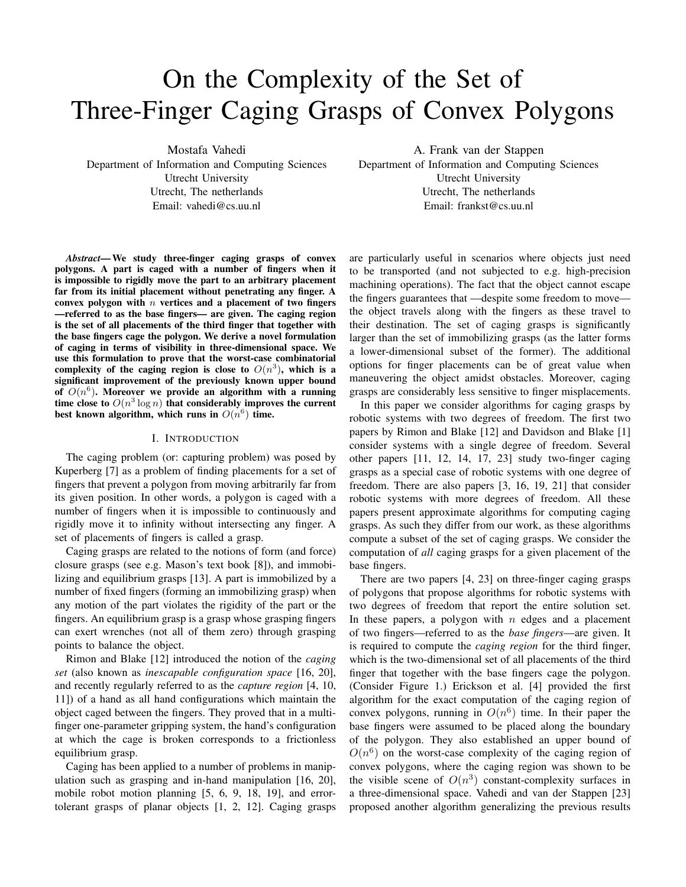# On the Complexity of the Set of Three-Finger Caging Grasps of Convex Polygons

Mostafa Vahedi

Department of Information and Computing Sciences Utrecht University Utrecht, The netherlands Email: vahedi@cs.uu.nl

*Abstract*— We study three-finger caging grasps of convex polygons. A part is caged with a number of fingers when it is impossible to rigidly move the part to an arbitrary placement far from its initial placement without penetrating any finger. A convex polygon with  $n$  vertices and a placement of two fingers —referred to as the base fingers— are given. The caging region is the set of all placements of the third finger that together with the base fingers cage the polygon. We derive a novel formulation of caging in terms of visibility in three-dimensional space. We use this formulation to prove that the worst-case combinatorial complexity of the caging region is close to  $O(n^3)$ , which is a significant improvement of the previously known upper bound of  $O(n^6)$ . Moreover we provide an algorithm with a running time close to  $O(n^3 \log n)$  that considerably improves the current best known algorithm, which runs in  $O(n^6)$  time.

#### I. INTRODUCTION

The caging problem (or: capturing problem) was posed by Kuperberg [7] as a problem of finding placements for a set of fingers that prevent a polygon from moving arbitrarily far from its given position. In other words, a polygon is caged with a number of fingers when it is impossible to continuously and rigidly move it to infinity without intersecting any finger. A set of placements of fingers is called a grasp.

Caging grasps are related to the notions of form (and force) closure grasps (see e.g. Mason's text book [8]), and immobilizing and equilibrium grasps [13]. A part is immobilized by a number of fixed fingers (forming an immobilizing grasp) when any motion of the part violates the rigidity of the part or the fingers. An equilibrium grasp is a grasp whose grasping fingers can exert wrenches (not all of them zero) through grasping points to balance the object.

Rimon and Blake [12] introduced the notion of the *caging set* (also known as *inescapable configuration space* [16, 20], and recently regularly referred to as the *capture region* [4, 10, 11]) of a hand as all hand configurations which maintain the object caged between the fingers. They proved that in a multifinger one-parameter gripping system, the hand's configuration at which the cage is broken corresponds to a frictionless equilibrium grasp.

Caging has been applied to a number of problems in manipulation such as grasping and in-hand manipulation [16, 20], mobile robot motion planning [5, 6, 9, 18, 19], and errortolerant grasps of planar objects [1, 2, 12]. Caging grasps A. Frank van der Stappen

Department of Information and Computing Sciences Utrecht University Utrecht, The netherlands Email: frankst@cs.uu.nl

are particularly useful in scenarios where objects just need to be transported (and not subjected to e.g. high-precision machining operations). The fact that the object cannot escape the fingers guarantees that —despite some freedom to move the object travels along with the fingers as these travel to their destination. The set of caging grasps is significantly larger than the set of immobilizing grasps (as the latter forms a lower-dimensional subset of the former). The additional options for finger placements can be of great value when maneuvering the object amidst obstacles. Moreover, caging grasps are considerably less sensitive to finger misplacements.

In this paper we consider algorithms for caging grasps by robotic systems with two degrees of freedom. The first two papers by Rimon and Blake [12] and Davidson and Blake [1] consider systems with a single degree of freedom. Several other papers [11, 12, 14, 17, 23] study two-finger caging grasps as a special case of robotic systems with one degree of freedom. There are also papers [3, 16, 19, 21] that consider robotic systems with more degrees of freedom. All these papers present approximate algorithms for computing caging grasps. As such they differ from our work, as these algorithms compute a subset of the set of caging grasps. We consider the computation of *all* caging grasps for a given placement of the base fingers.

There are two papers [4, 23] on three-finger caging grasps of polygons that propose algorithms for robotic systems with two degrees of freedom that report the entire solution set. In these papers, a polygon with  $n$  edges and a placement of two fingers—referred to as the *base fingers*—are given. It is required to compute the *caging region* for the third finger, which is the two-dimensional set of all placements of the third finger that together with the base fingers cage the polygon. (Consider Figure 1.) Erickson et al. [4] provided the first algorithm for the exact computation of the caging region of convex polygons, running in  $O(n^6)$  time. In their paper the base fingers were assumed to be placed along the boundary of the polygon. They also established an upper bound of  $O(n^6)$  on the worst-case complexity of the caging region of convex polygons, where the caging region was shown to be the visible scene of  $O(n^3)$  constant-complexity surfaces in a three-dimensional space. Vahedi and van der Stappen [23] proposed another algorithm generalizing the previous results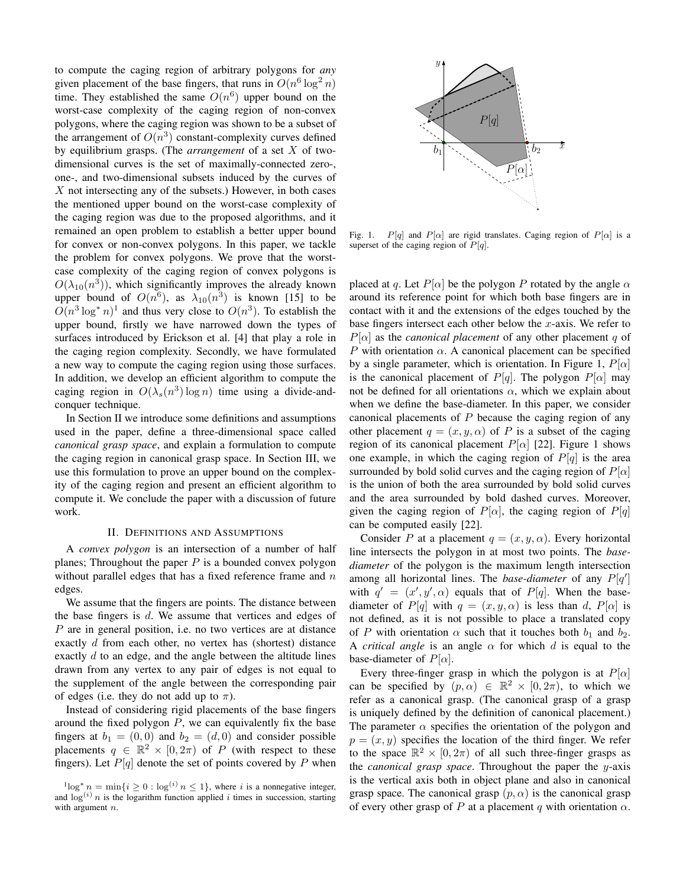to compute the caging region of arbitrary polygons for *any* given placement of the base fingers, that runs in  $O(n^6 \log^2 n)$ time. They established the same  $O(n^6)$  upper bound on the worst-case complexity of the caging region of non-convex polygons, where the caging region was shown to be a subset of the arrangement of  $O(n^3)$  constant-complexity curves defined by equilibrium grasps. (The *arrangement* of a set  $X$  of twodimensional curves is the set of maximally-connected zero-, one-, and two-dimensional subsets induced by the curves of  $X$  not intersecting any of the subsets.) However, in both cases the mentioned upper bound on the worst-case complexity of the caging region was due to the proposed algorithms, and it remained an open problem to establish a better upper bound for convex or non-convex polygons. In this paper, we tackle the problem for convex polygons. We prove that the worstcase complexity of the caging region of convex polygons is  $O(\lambda_{10}(n^3))$ , which significantly improves the already known upper bound of  $O(n^6)$ , as  $\lambda_{10}(n^3)$  is known [15] to be  $O(n^3 \log^* n)^1$  and thus very close to  $O(n^3)$ . To establish the upper bound, firstly we have narrowed down the types of surfaces introduced by Erickson et al. [4] that play a role in the caging region complexity. Secondly, we have formulated a new way to compute the caging region using those surfaces. In addition, we develop an efficient algorithm to compute the caging region in  $O(\lambda_s(n^3) \log n)$  time using a divide-andconquer technique.

In Section II we introduce some definitions and assumptions used in the paper, define a three-dimensional space called *canonical grasp space*, and explain a formulation to compute the caging region in canonical grasp space. In Section III, we use this formulation to prove an upper bound on the complexity of the caging region and present an efficient algorithm to compute it. We conclude the paper with a discussion of future work.

#### II. DEFINITIONS AND ASSUMPTIONS

A *convex polygon* is an intersection of a number of half planes; Throughout the paper  $P$  is a bounded convex polygon without parallel edges that has a fixed reference frame and  $n$ edges.

We assume that the fingers are points. The distance between the base fingers is  $d$ . We assume that vertices and edges of  $P$  are in general position, i.e. no two vertices are at distance exactly  $d$  from each other, no vertex has (shortest) distance exactly  $d$  to an edge, and the angle between the altitude lines drawn from any vertex to any pair of edges is not equal to the supplement of the angle between the corresponding pair of edges (i.e. they do not add up to  $\pi$ ).

Instead of considering rigid placements of the base fingers around the fixed polygon  $P$ , we can equivalently fix the base fingers at  $b_1 = (0, 0)$  and  $b_2 = (d, 0)$  and consider possible placements  $q \in \mathbb{R}^2 \times [0, 2\pi)$  of P (with respect to these fingers). Let  $P[q]$  denote the set of points covered by P when





Fig. 1.  $P[q]$  and  $P[\alpha]$  are rigid translates. Caging region of  $P[\alpha]$  is a superset of the caging region of  $P[q]$ .

placed at q. Let  $P[\alpha]$  be the polygon P rotated by the angle  $\alpha$ around its reference point for which both base fingers are in contact with it and the extensions of the edges touched by the base fingers intersect each other below the  $x$ -axis. We refer to  $P[\alpha]$  as the *canonical placement* of any other placement q of P with orientation  $\alpha$ . A canonical placement can be specified by a single parameter, which is orientation. In Figure 1,  $P[\alpha]$ is the canonical placement of  $P[q]$ . The polygon  $P[\alpha]$  may not be defined for all orientations  $\alpha$ , which we explain about when we define the base-diameter. In this paper, we consider canonical placements of  $P$  because the caging region of any other placement  $q = (x, y, \alpha)$  of P is a subset of the caging region of its canonical placement  $P[\alpha]$  [22]. Figure 1 shows one example, in which the caging region of  $P[q]$  is the area surrounded by bold solid curves and the caging region of  $P[\alpha]$ is the union of both the area surrounded by bold solid curves and the area surrounded by bold dashed curves. Moreover, given the caging region of  $P[\alpha]$ , the caging region of  $P[q]$ can be computed easily [22].

Consider P at a placement  $q = (x, y, \alpha)$ . Every horizontal line intersects the polygon in at most two points. The *basediameter* of the polygon is the maximum length intersection among all horizontal lines. The *base-diameter* of any  $P[q']$ with  $q' = (x', y', \alpha)$  equals that of  $P[q]$ . When the basediameter of  $P[q]$  with  $q = (x, y, \alpha)$  is less than d,  $P[\alpha]$  is not defined, as it is not possible to place a translated copy of P with orientation  $\alpha$  such that it touches both  $b_1$  and  $b_2$ . A *critical angle* is an angle  $\alpha$  for which  $d$  is equal to the base-diameter of  $P[\alpha]$ .

Every three-finger grasp in which the polygon is at  $P[\alpha]$ can be specified by  $(p, \alpha) \in \mathbb{R}^2 \times [0, 2\pi)$ , to which we refer as a canonical grasp. (The canonical grasp of a grasp is uniquely defined by the definition of canonical placement.) The parameter  $\alpha$  specifies the orientation of the polygon and  $p = (x, y)$  specifies the location of the third finger. We refer to the space  $\mathbb{R}^2 \times [0, 2\pi)$  of all such three-finger grasps as the *canonical grasp space*. Throughout the paper the y-axis is the vertical axis both in object plane and also in canonical grasp space. The canonical grasp  $(p, \alpha)$  is the canonical grasp of every other grasp of P at a placement q with orientation  $\alpha$ .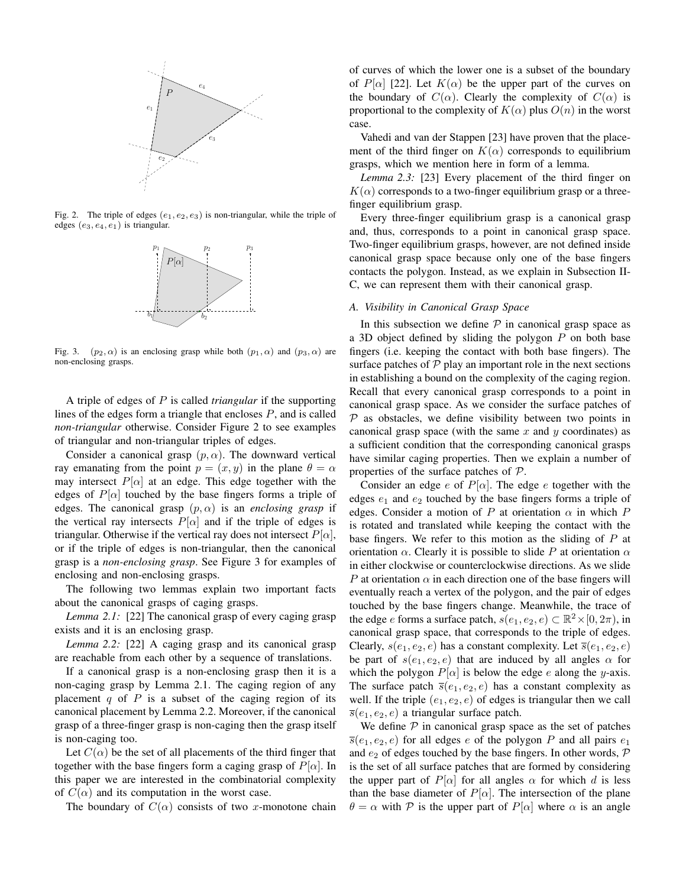

Fig. 2. The triple of edges  $(e_1, e_2, e_3)$  is non-triangular, while the triple of edges  $(e_3, e_4, e_1)$  is triangular.



Fig. 3.  $(p_2, \alpha)$  is an enclosing grasp while both  $(p_1, \alpha)$  and  $(p_3, \alpha)$  are non-enclosing grasps.

A triple of edges of P is called *triangular* if the supporting lines of the edges form a triangle that encloses  $P$ , and is called *non-triangular* otherwise. Consider Figure 2 to see examples of triangular and non-triangular triples of edges.

Consider a canonical grasp  $(p, \alpha)$ . The downward vertical ray emanating from the point  $p = (x, y)$  in the plane  $\theta = \alpha$ may intersect  $P[\alpha]$  at an edge. This edge together with the edges of  $P[\alpha]$  touched by the base fingers forms a triple of edges. The canonical grasp  $(p, \alpha)$  is an *enclosing grasp* if the vertical ray intersects  $P[\alpha]$  and if the triple of edges is triangular. Otherwise if the vertical ray does not intersect  $P[\alpha]$ , or if the triple of edges is non-triangular, then the canonical grasp is a *non-enclosing grasp*. See Figure 3 for examples of enclosing and non-enclosing grasps.

The following two lemmas explain two important facts about the canonical grasps of caging grasps.

*Lemma 2.1:* [22] The canonical grasp of every caging grasp exists and it is an enclosing grasp.

*Lemma 2.2:* [22] A caging grasp and its canonical grasp are reachable from each other by a sequence of translations.

If a canonical grasp is a non-enclosing grasp then it is a non-caging grasp by Lemma 2.1. The caging region of any placement  $q$  of  $P$  is a subset of the caging region of its canonical placement by Lemma 2.2. Moreover, if the canonical grasp of a three-finger grasp is non-caging then the grasp itself is non-caging too.

Let  $C(\alpha)$  be the set of all placements of the third finger that together with the base fingers form a caging grasp of  $P[\alpha]$ . In this paper we are interested in the combinatorial complexity of  $C(\alpha)$  and its computation in the worst case.

The boundary of  $C(\alpha)$  consists of two *x*-monotone chain

of curves of which the lower one is a subset of the boundary of  $P[\alpha]$  [22]. Let  $K(\alpha)$  be the upper part of the curves on the boundary of  $C(\alpha)$ . Clearly the complexity of  $C(\alpha)$  is proportional to the complexity of  $K(\alpha)$  plus  $O(n)$  in the worst case.

Vahedi and van der Stappen [23] have proven that the placement of the third finger on  $K(\alpha)$  corresponds to equilibrium grasps, which we mention here in form of a lemma.

*Lemma 2.3:* [23] Every placement of the third finger on  $K(\alpha)$  corresponds to a two-finger equilibrium grasp or a threefinger equilibrium grasp.

Every three-finger equilibrium grasp is a canonical grasp and, thus, corresponds to a point in canonical grasp space. Two-finger equilibrium grasps, however, are not defined inside canonical grasp space because only one of the base fingers contacts the polygon. Instead, as we explain in Subsection II-C, we can represent them with their canonical grasp.

## *A. Visibility in Canonical Grasp Space*

In this subsection we define  $P$  in canonical grasp space as a 3D object defined by sliding the polygon  $P$  on both base fingers (i.e. keeping the contact with both base fingers). The surface patches of  $P$  play an important role in the next sections in establishing a bound on the complexity of the caging region. Recall that every canonical grasp corresponds to a point in canonical grasp space. As we consider the surface patches of  $P$  as obstacles, we define visibility between two points in canonical grasp space (with the same  $x$  and  $y$  coordinates) as a sufficient condition that the corresponding canonical grasps have similar caging properties. Then we explain a number of properties of the surface patches of  $P$ .

Consider an edge  $e$  of  $P[\alpha]$ . The edge  $e$  together with the edges  $e_1$  and  $e_2$  touched by the base fingers forms a triple of edges. Consider a motion of P at orientation  $\alpha$  in which P is rotated and translated while keeping the contact with the base fingers. We refer to this motion as the sliding of  *at* orientation  $\alpha$ . Clearly it is possible to slide P at orientation  $\alpha$ in either clockwise or counterclockwise directions. As we slide P at orientation  $\alpha$  in each direction one of the base fingers will eventually reach a vertex of the polygon, and the pair of edges touched by the base fingers change. Meanwhile, the trace of the edge *e* forms a surface patch,  $s(e_1, e_2, e) \subset \mathbb{R}^2 \times [0, 2\pi)$ , in canonical grasp space, that corresponds to the triple of edges. Clearly,  $s(e_1, e_2, e)$  has a constant complexity. Let  $\overline{s}(e_1, e_2, e)$ be part of  $s(e_1, e_2, e)$  that are induced by all angles  $\alpha$  for which the polygon  $P[\alpha]$  is below the edge e along the y-axis. The surface patch  $\overline{s}(e_1, e_2, e)$  has a constant complexity as well. If the triple  $(e_1, e_2, e)$  of edges is triangular then we call  $\overline{s}(e_1, e_2, e)$  a triangular surface patch.

We define  $P$  in canonical grasp space as the set of patches  $\overline{s}(e_1, e_2, e)$  for all edges e of the polygon P and all pairs  $e_1$ and  $e_2$  of edges touched by the base fingers. In other words,  $\mathcal P$ is the set of all surface patches that are formed by considering the upper part of  $P[\alpha]$  for all angles  $\alpha$  for which d is less than the base diameter of  $P[\alpha]$ . The intersection of the plane  $\theta = \alpha$  with  $\mathcal P$  is the upper part of  $P[\alpha]$  where  $\alpha$  is an angle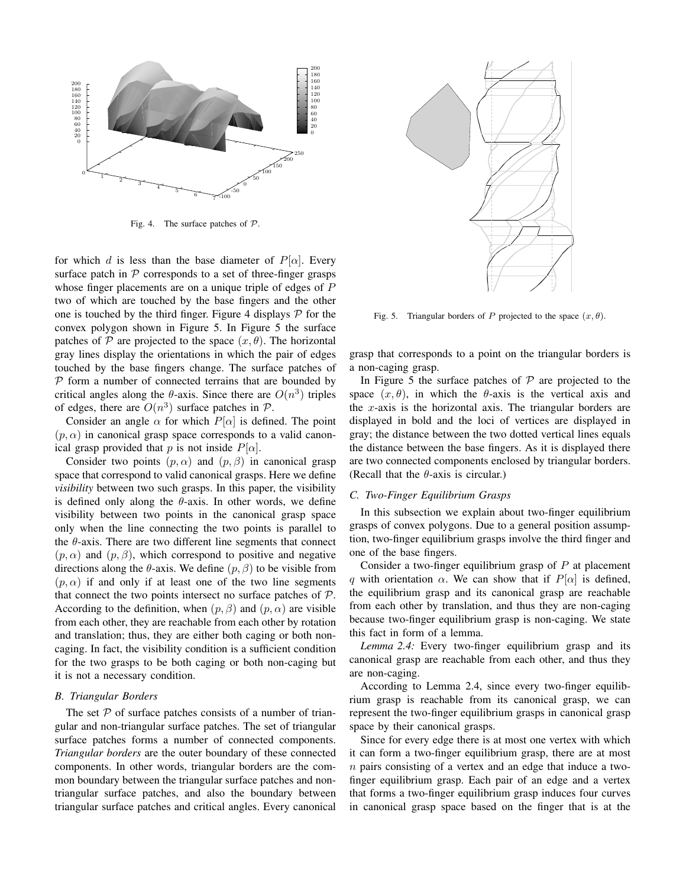

Fig. 4. The surface patches of  $P$ .

for which d is less than the base diameter of  $P[\alpha]$ . Every surface patch in  $P$  corresponds to a set of three-finger grasps whose finger placements are on a unique triple of edges of  $P$ two of which are touched by the base fingers and the other one is touched by the third finger. Figure 4 displays  $P$  for the convex polygon shown in Figure 5. In Figure 5 the surface patches of  $P$  are projected to the space  $(x, \theta)$ . The horizontal gray lines display the orientations in which the pair of edges touched by the base fingers change. The surface patches of  $P$  form a number of connected terrains that are bounded by critical angles along the  $\theta$ -axis. Since there are  $O(n^3)$  triples of edges, there are  $O(n^3)$  surface patches in  $P$ .

Consider an angle  $\alpha$  for which  $P[\alpha]$  is defined. The point  $(p, \alpha)$  in canonical grasp space corresponds to a valid canonical grasp provided that p is not inside  $P[\alpha]$ .

Consider two points  $(p, \alpha)$  and  $(p, \beta)$  in canonical grasp space that correspond to valid canonical grasps. Here we define *visibility* between two such grasps. In this paper, the visibility is defined only along the  $\theta$ -axis. In other words, we define visibility between two points in the canonical grasp space only when the line connecting the two points is parallel to the  $\theta$ -axis. There are two different line segments that connect  $(p, \alpha)$  and  $(p, \beta)$ , which correspond to positive and negative directions along the  $\theta$ -axis. We define  $(p, \beta)$  to be visible from  $(p, \alpha)$  if and only if at least one of the two line segments that connect the two points intersect no surface patches of  $P$ . According to the definition, when  $(p, \beta)$  and  $(p, \alpha)$  are visible from each other, they are reachable from each other by rotation and translation; thus, they are either both caging or both noncaging. In fact, the visibility condition is a sufficient condition for the two grasps to be both caging or both non-caging but it is not a necessary condition.

#### *B. Triangular Borders*

The set  $P$  of surface patches consists of a number of triangular and non-triangular surface patches. The set of triangular surface patches forms a number of connected components. *Triangular borders* are the outer boundary of these connected components. In other words, triangular borders are the common boundary between the triangular surface patches and nontriangular surface patches, and also the boundary between triangular surface patches and critical angles. Every canonical



Fig. 5. Triangular borders of P projected to the space  $(x, \theta)$ .

grasp that corresponds to a point on the triangular borders is a non-caging grasp.

In Figure 5 the surface patches of  $P$  are projected to the space  $(x, \theta)$ , in which the  $\theta$ -axis is the vertical axis and the  $x$ -axis is the horizontal axis. The triangular borders are displayed in bold and the loci of vertices are displayed in gray; the distance between the two dotted vertical lines equals the distance between the base fingers. As it is displayed there are two connected components enclosed by triangular borders. (Recall that the  $\theta$ -axis is circular.)

#### *C. Two-Finger Equilibrium Grasps*

In this subsection we explain about two-finger equilibrium grasps of convex polygons. Due to a general position assumption, two-finger equilibrium grasps involve the third finger and one of the base fingers.

Consider a two-finger equilibrium grasp of  $P$  at placement q with orientation  $\alpha$ . We can show that if  $P[\alpha]$  is defined, the equilibrium grasp and its canonical grasp are reachable from each other by translation, and thus they are non-caging because two-finger equilibrium grasp is non-caging. We state this fact in form of a lemma.

*Lemma 2.4:* Every two-finger equilibrium grasp and its canonical grasp are reachable from each other, and thus they are non-caging.

According to Lemma 2.4, since every two-finger equilibrium grasp is reachable from its canonical grasp, we can represent the two-finger equilibrium grasps in canonical grasp space by their canonical grasps.

Since for every edge there is at most one vertex with which it can form a two-finger equilibrium grasp, there are at most  $n$  pairs consisting of a vertex and an edge that induce a twofinger equilibrium grasp. Each pair of an edge and a vertex that forms a two-finger equilibrium grasp induces four curves in canonical grasp space based on the finger that is at the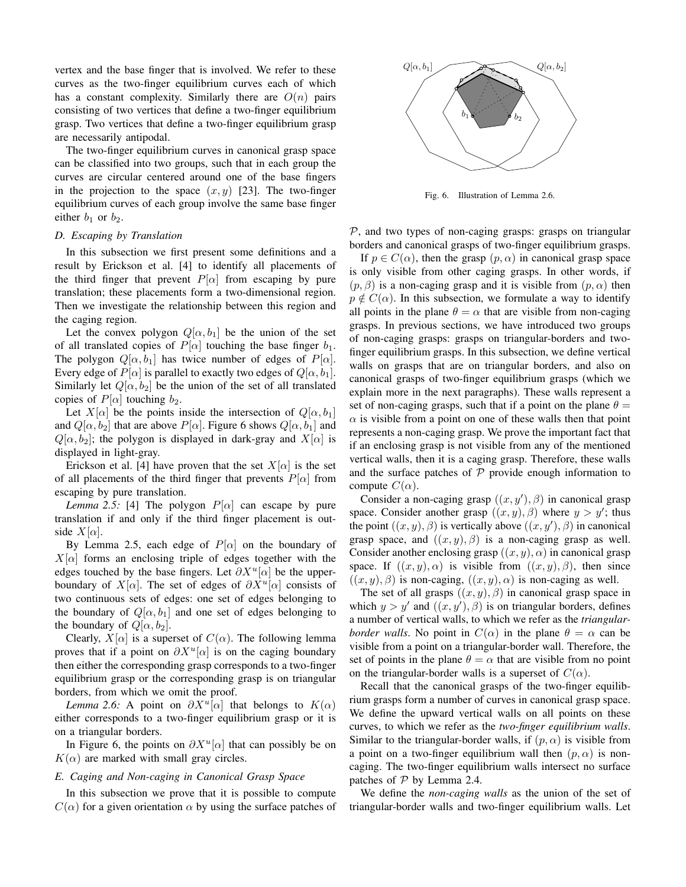vertex and the base finger that is involved. We refer to these curves as the two-finger equilibrium curves each of which has a constant complexity. Similarly there are  $O(n)$  pairs consisting of two vertices that define a two-finger equilibrium grasp. Two vertices that define a two-finger equilibrium grasp are necessarily antipodal.

The two-finger equilibrium curves in canonical grasp space can be classified into two groups, such that in each group the curves are circular centered around one of the base fingers in the projection to the space  $(x, y)$  [23]. The two-finger equilibrium curves of each group involve the same base finger either  $b_1$  or  $b_2$ .

#### *D. Escaping by Translation*

In this subsection we first present some definitions and a result by Erickson et al. [4] to identify all placements of the third finger that prevent  $P[\alpha]$  from escaping by pure translation; these placements form a two-dimensional region. Then we investigate the relationship between this region and the caging region.

Let the convex polygon  $Q[\alpha, b_1]$  be the union of the set of all translated copies of  $P[\alpha]$  touching the base finger  $b_1$ . The polygon  $Q[\alpha, b_1]$  has twice number of edges of  $P[\alpha]$ . Every edge of  $P[\alpha]$  is parallel to exactly two edges of  $Q[\alpha, b_1]$ . Similarly let  $Q[\alpha, b_2]$  be the union of the set of all translated copies of  $P[\alpha]$  touching  $b_2$ .

Let  $X[\alpha]$  be the points inside the intersection of  $Q[\alpha, b_1]$ and  $Q[\alpha, b_2]$  that are above  $P[\alpha]$ . Figure 6 shows  $Q[\alpha, b_1]$  and  $Q[\alpha, b_2]$ ; the polygon is displayed in dark-gray and  $X[\alpha]$  is displayed in light-gray.

Erickson et al. [4] have proven that the set  $X[\alpha]$  is the set of all placements of the third finger that prevents  $P[\alpha]$  from escaping by pure translation.

*Lemma 2.5:* [4] The polygon  $P[\alpha]$  can escape by pure translation if and only if the third finger placement is outside  $X[\alpha]$ .

By Lemma 2.5, each edge of  $P[\alpha]$  on the boundary of  $X[\alpha]$  forms an enclosing triple of edges together with the edges touched by the base fingers. Let  $\partial X^u[\alpha]$  be the upperboundary of  $X[\alpha]$ . The set of edges of  $\partial X^u[\alpha]$  consists of two continuous sets of edges: one set of edges belonging to the boundary of  $Q[\alpha, b_1]$  and one set of edges belonging to the boundary of  $Q[\alpha, b_2]$ .

Clearly,  $X[\alpha]$  is a superset of  $C(\alpha)$ . The following lemma proves that if a point on  $\partial X^u[\alpha]$  is on the caging boundary then either the corresponding grasp corresponds to a two-finger equilibrium grasp or the corresponding grasp is on triangular borders, from which we omit the proof.

*Lemma 2.6:* A point on  $\partial X^u[\alpha]$  that belongs to  $K(\alpha)$ either corresponds to a two-finger equilibrium grasp or it is on a triangular borders.

In Figure 6, the points on  $\partial X^u[\alpha]$  that can possibly be on  $K(\alpha)$  are marked with small gray circles.

#### *E. Caging and Non-caging in Canonical Grasp Space*

In this subsection we prove that it is possible to compute  $C(\alpha)$  for a given orientation  $\alpha$  by using the surface patches of



Fig. 6. Illustration of Lemma 2.6.

 $P$ , and two types of non-caging grasps: grasps on triangular borders and canonical grasps of two-finger equilibrium grasps.

If  $p \in C(\alpha)$ , then the grasp  $(p, \alpha)$  in canonical grasp space is only visible from other caging grasps. In other words, if  $(p, \beta)$  is a non-caging grasp and it is visible from  $(p, \alpha)$  then  $p \notin C(\alpha)$ . In this subsection, we formulate a way to identify all points in the plane  $\theta = \alpha$  that are visible from non-caging grasps. In previous sections, we have introduced two groups of non-caging grasps: grasps on triangular-borders and twofinger equilibrium grasps. In this subsection, we define vertical walls on grasps that are on triangular borders, and also on canonical grasps of two-finger equilibrium grasps (which we explain more in the next paragraphs). These walls represent a set of non-caging grasps, such that if a point on the plane  $\theta =$  $\alpha$  is visible from a point on one of these walls then that point represents a non-caging grasp. We prove the important fact that if an enclosing grasp is not visible from any of the mentioned vertical walls, then it is a caging grasp. Therefore, these walls and the surface patches of  $P$  provide enough information to compute  $C(\alpha)$ .

Consider a non-caging grasp  $((x, y'), \beta)$  in canonical grasp space. Consider another grasp  $((x, y), \beta)$  where  $y > y'$ ; thus the point  $((x, y), \beta)$  is vertically above  $((x, y'), \beta)$  in canonical grasp space, and  $((x, y), \beta)$  is a non-caging grasp as well. Consider another enclosing grasp  $((x, y), \alpha)$  in canonical grasp space. If  $((x, y), \alpha)$  is visible from  $((x, y), \beta)$ , then since  $((x, y), \beta)$  is non-caging,  $((x, y), \alpha)$  is non-caging as well.

The set of all grasps  $((x, y), \beta)$  in canonical grasp space in which  $y > y'$  and  $((x, y'), \beta)$  is on triangular borders, defines a number of vertical walls, to which we refer as the *triangularborder walls*. No point in  $C(\alpha)$  in the plane  $\theta = \alpha$  can be visible from a point on a triangular-border wall. Therefore, the set of points in the plane  $\theta = \alpha$  that are visible from no point on the triangular-border walls is a superset of  $C(\alpha)$ .

Recall that the canonical grasps of the two-finger equilibrium grasps form a number of curves in canonical grasp space. We define the upward vertical walls on all points on these curves, to which we refer as the *two-finger equilibrium walls*. Similar to the triangular-border walls, if  $(p, \alpha)$  is visible from a point on a two-finger equilibrium wall then  $(p, \alpha)$  is noncaging. The two-finger equilibrium walls intersect no surface patches of  $P$  by Lemma 2.4.

We define the *non-caging walls* as the union of the set of triangular-border walls and two-finger equilibrium walls. Let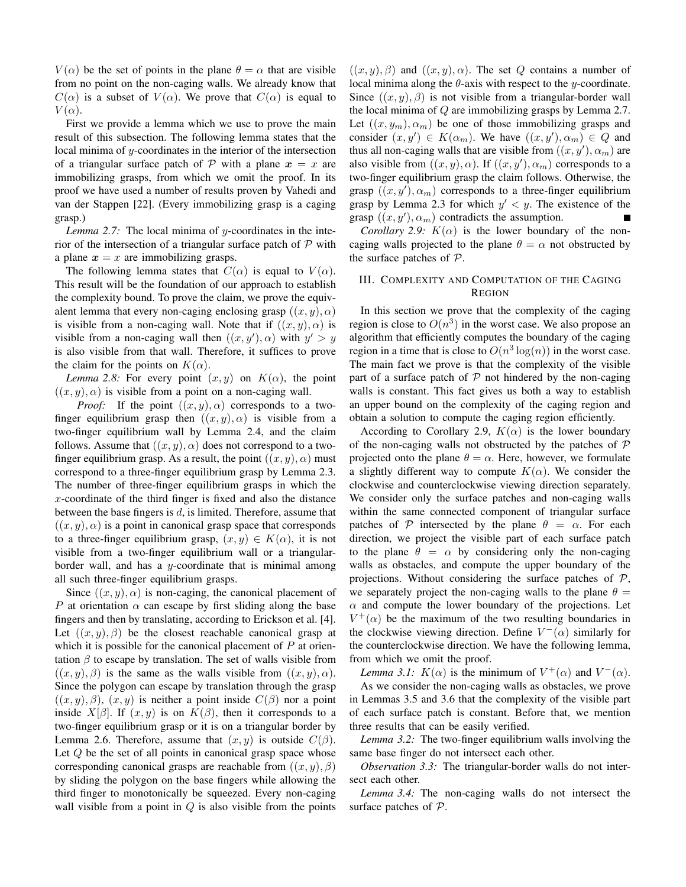$V(\alpha)$  be the set of points in the plane  $\theta = \alpha$  that are visible from no point on the non-caging walls. We already know that  $C(\alpha)$  is a subset of  $V(\alpha)$ . We prove that  $C(\alpha)$  is equal to  $V(\alpha)$ .

First we provide a lemma which we use to prove the main result of this subsection. The following lemma states that the local minima of  $y$ -coordinates in the interior of the intersection of a triangular surface patch of  $P$  with a plane  $x = x$  are immobilizing grasps, from which we omit the proof. In its proof we have used a number of results proven by Vahedi and van der Stappen [22]. (Every immobilizing grasp is a caging grasp.)

*Lemma 2.7:* The local minima of  $y$ -coordinates in the interior of the intersection of a triangular surface patch of  $P$  with a plane  $x = x$  are immobilizing grasps.

The following lemma states that  $C(\alpha)$  is equal to  $V(\alpha)$ . This result will be the foundation of our approach to establish the complexity bound. To prove the claim, we prove the equivalent lemma that every non-caging enclosing grasp  $((x, y), \alpha)$ is visible from a non-caging wall. Note that if  $((x, y), \alpha)$  is visible from a non-caging wall then  $((x, y'), \alpha)$  with  $y' > y$ is also visible from that wall. Therefore, it suffices to prove the claim for the points on  $K(\alpha)$ .

*Lemma 2.8:* For every point  $(x, y)$  on  $K(\alpha)$ , the point  $((x, y), \alpha)$  is visible from a point on a non-caging wall.

*Proof:* If the point  $((x, y), \alpha)$  corresponds to a twofinger equilibrium grasp then  $((x, y), \alpha)$  is visible from a two-finger equilibrium wall by Lemma 2.4, and the claim follows. Assume that  $((x, y), \alpha)$  does not correspond to a twofinger equilibrium grasp. As a result, the point  $((x, y), \alpha)$  must correspond to a three-finger equilibrium grasp by Lemma 2.3. The number of three-finger equilibrium grasps in which the  $x$ -coordinate of the third finger is fixed and also the distance between the base fingers is  $d$ , is limited. Therefore, assume that  $((x, y), \alpha)$  is a point in canonical grasp space that corresponds to a three-finger equilibrium grasp,  $(x, y) \in K(\alpha)$ , it is not visible from a two-finger equilibrium wall or a triangularborder wall, and has a  $y$ -coordinate that is minimal among all such three-finger equilibrium grasps.

Since  $((x, y), \alpha)$  is non-caging, the canonical placement of P at orientation  $\alpha$  can escape by first sliding along the base fingers and then by translating, according to Erickson et al. [4]. Let  $((x, y), \beta)$  be the closest reachable canonical grasp at which it is possible for the canonical placement of  $P$  at orientation  $\beta$  to escape by translation. The set of walls visible from  $((x, y), \beta)$  is the same as the walls visible from  $((x, y), \alpha)$ . Since the polygon can escape by translation through the grasp  $((x, y), \beta), (x, y)$  is neither a point inside  $C(\beta)$  nor a point inside  $X[\beta]$ . If  $(x, y)$  is on  $K(\beta)$ , then it corresponds to a two-finger equilibrium grasp or it is on a triangular border by Lemma 2.6. Therefore, assume that  $(x, y)$  is outside  $C(\beta)$ . Let  $Q$  be the set of all points in canonical grasp space whose corresponding canonical grasps are reachable from  $((x, y), \beta)$ by sliding the polygon on the base fingers while allowing the third finger to monotonically be squeezed. Every non-caging wall visible from a point in  $Q$  is also visible from the points

 $((x, y), \beta)$  and  $((x, y), \alpha)$ . The set Q contains a number of local minima along the  $\theta$ -axis with respect to the *y*-coordinate. Since  $((x, y), \beta)$  is not visible from a triangular-border wall the local minima of  $Q$  are immobilizing grasps by Lemma 2.7. Let  $((x, y_m), \alpha_m)$  be one of those immobilizing grasps and consider  $(x, y') \in K(\alpha_m)$ . We have  $((x, y'), \alpha_m) \in Q$  and thus all non-caging walls that are visible from  $((x, y'), \alpha_m)$  are also visible from  $((x, y), \alpha)$ . If  $((x, y'), \alpha_m)$  corresponds to a two-finger equilibrium grasp the claim follows. Otherwise, the grasp  $((x, y'), \alpha_m)$  corresponds to a three-finger equilibrium grasp by Lemma 2.3 for which  $y' < y$ . The existence of the grasp  $((x, y'), \alpha_m)$  contradicts the assumption.

*Corollary 2.9:*  $K(\alpha)$  is the lower boundary of the noncaging walls projected to the plane  $\theta = \alpha$  not obstructed by the surface patches of  $P$ .

## III. COMPLEXITY AND COMPUTATION OF THE CAGING REGION

In this section we prove that the complexity of the caging region is close to  $O(n^3)$  in the worst case. We also propose an algorithm that efficiently computes the boundary of the caging region in a time that is close to  $O(n^3 \log(n))$  in the worst case. The main fact we prove is that the complexity of the visible part of a surface patch of  $P$  not hindered by the non-caging walls is constant. This fact gives us both a way to establish an upper bound on the complexity of the caging region and obtain a solution to compute the caging region efficiently.

According to Corollary 2.9,  $K(\alpha)$  is the lower boundary of the non-caging walls not obstructed by the patches of  $\mathcal P$ projected onto the plane  $\theta = \alpha$ . Here, however, we formulate a slightly different way to compute  $K(\alpha)$ . We consider the clockwise and counterclockwise viewing direction separately. We consider only the surface patches and non-caging walls within the same connected component of triangular surface patches of  $P$  intersected by the plane  $\theta = \alpha$ . For each direction, we project the visible part of each surface patch to the plane  $\theta = \alpha$  by considering only the non-caging walls as obstacles, and compute the upper boundary of the projections. Without considering the surface patches of  $P$ , we separately project the non-caging walls to the plane  $\theta =$  $\alpha$  and compute the lower boundary of the projections. Let  $V^+(\alpha)$  be the maximum of the two resulting boundaries in the clockwise viewing direction. Define  $V^-(\alpha)$  similarly for the counterclockwise direction. We have the following lemma, from which we omit the proof.

*Lemma 3.1:*  $K(\alpha)$  is the minimum of  $V^+(\alpha)$  and  $V^-(\alpha)$ .

As we consider the non-caging walls as obstacles, we prove in Lemmas 3.5 and 3.6 that the complexity of the visible part of each surface patch is constant. Before that, we mention three results that can be easily verified.

*Lemma 3.2:* The two-finger equilibrium walls involving the same base finger do not intersect each other.

*Observation 3.3:* The triangular-border walls do not intersect each other.

*Lemma 3.4:* The non-caging walls do not intersect the surface patches of  $P$ .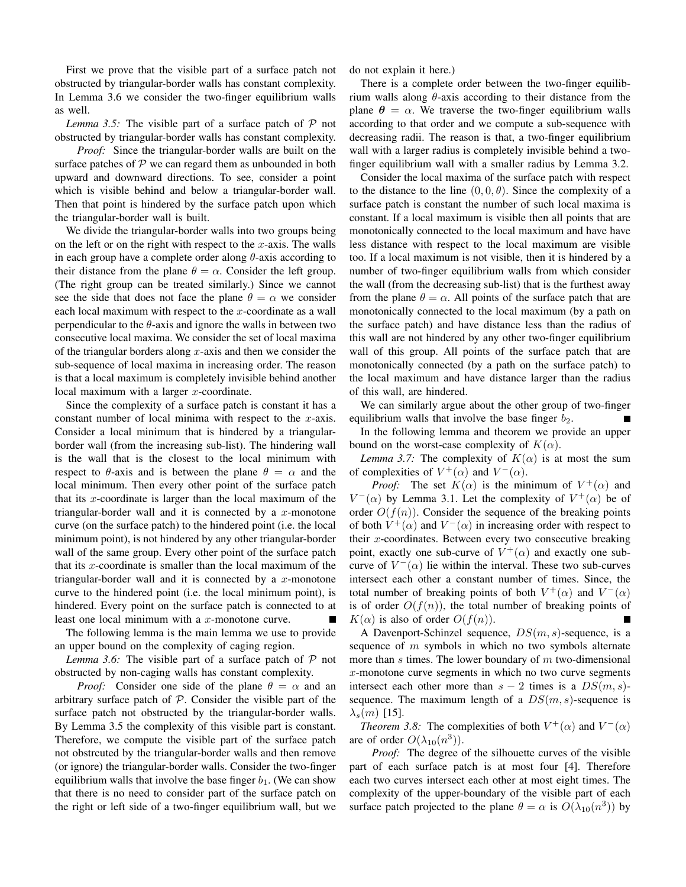First we prove that the visible part of a surface patch not obstructed by triangular-border walls has constant complexity. In Lemma 3.6 we consider the two-finger equilibrium walls as well.

*Lemma 3.5:* The visible part of a surface patch of  $P$  not obstructed by triangular-border walls has constant complexity.

*Proof:* Since the triangular-border walls are built on the surface patches of  $P$  we can regard them as unbounded in both upward and downward directions. To see, consider a point which is visible behind and below a triangular-border wall. Then that point is hindered by the surface patch upon which the triangular-border wall is built.

We divide the triangular-border walls into two groups being on the left or on the right with respect to the  $x$ -axis. The walls in each group have a complete order along  $\theta$ -axis according to their distance from the plane  $\theta = \alpha$ . Consider the left group. (The right group can be treated similarly.) Since we cannot see the side that does not face the plane  $\theta = \alpha$  we consider each local maximum with respect to the  $x$ -coordinate as a wall perpendicular to the  $\theta$ -axis and ignore the walls in between two consecutive local maxima. We consider the set of local maxima of the triangular borders along  $x$ -axis and then we consider the sub-sequence of local maxima in increasing order. The reason is that a local maximum is completely invisible behind another local maximum with a larger  $x$ -coordinate.

Since the complexity of a surface patch is constant it has a constant number of local minima with respect to the  $x$ -axis. Consider a local minimum that is hindered by a triangularborder wall (from the increasing sub-list). The hindering wall is the wall that is the closest to the local minimum with respect to  $\theta$ -axis and is between the plane  $\theta = \alpha$  and the local minimum. Then every other point of the surface patch that its  $x$ -coordinate is larger than the local maximum of the triangular-border wall and it is connected by a  $x$ -monotone curve (on the surface patch) to the hindered point (i.e. the local minimum point), is not hindered by any other triangular-border wall of the same group. Every other point of the surface patch that its  $x$ -coordinate is smaller than the local maximum of the triangular-border wall and it is connected by a  $x$ -monotone curve to the hindered point (i.e. the local minimum point), is hindered. Every point on the surface patch is connected to at least one local minimum with a  $x$ -monotone curve.

The following lemma is the main lemma we use to provide an upper bound on the complexity of caging region.

*Lemma 3.6:* The visible part of a surface patch of  $P$  not obstructed by non-caging walls has constant complexity.

*Proof:* Consider one side of the plane  $\theta = \alpha$  and an arbitrary surface patch of  $P$ . Consider the visible part of the surface patch not obstructed by the triangular-border walls. By Lemma 3.5 the complexity of this visible part is constant. Therefore, we compute the visible part of the surface patch not obstrcuted by the triangular-border walls and then remove (or ignore) the triangular-border walls. Consider the two-finger equilibrium walls that involve the base finger  $b_1$ . (We can show that there is no need to consider part of the surface patch on the right or left side of a two-finger equilibrium wall, but we do not explain it here.)

There is a complete order between the two-finger equilibrium walls along  $\theta$ -axis according to their distance from the plane  $\theta = \alpha$ . We traverse the two-finger equilibrium walls according to that order and we compute a sub-sequence with decreasing radii. The reason is that, a two-finger equilibrium wall with a larger radius is completely invisible behind a twofinger equilibrium wall with a smaller radius by Lemma 3.2.

Consider the local maxima of the surface patch with respect to the distance to the line  $(0, 0, \theta)$ . Since the complexity of a surface patch is constant the number of such local maxima is constant. If a local maximum is visible then all points that are monotonically connected to the local maximum and have have less distance with respect to the local maximum are visible too. If a local maximum is not visible, then it is hindered by a number of two-finger equilibrium walls from which consider the wall (from the decreasing sub-list) that is the furthest away from the plane  $\theta = \alpha$ . All points of the surface patch that are monotonically connected to the local maximum (by a path on the surface patch) and have distance less than the radius of this wall are not hindered by any other two-finger equilibrium wall of this group. All points of the surface patch that are monotonically connected (by a path on the surface patch) to the local maximum and have distance larger than the radius of this wall, are hindered.

We can similarly argue about the other group of two-finger equilibrium walls that involve the base finger  $b_2$ .

In the following lemma and theorem we provide an upper bound on the worst-case complexity of  $K(\alpha)$ .

*Lemma 3.7:* The complexity of  $K(\alpha)$  is at most the sum of complexities of  $V^+(\alpha)$  and  $V^-(\alpha)$ .

*Proof:* The set  $K(\alpha)$  is the minimum of  $V^+(\alpha)$  and  $V^-(\alpha)$  by Lemma 3.1. Let the complexity of  $V^+(\alpha)$  be of order  $O(f(n))$ . Consider the sequence of the breaking points of both  $V^+(\alpha)$  and  $V^-(\alpha)$  in increasing order with respect to their  $x$ -coordinates. Between every two consecutive breaking point, exactly one sub-curve of  $V^+(\alpha)$  and exactly one subcurve of  $V^-(\alpha)$  lie within the interval. These two sub-curves intersect each other a constant number of times. Since, the total number of breaking points of both  $V^+(\alpha)$  and  $V^-(\alpha)$ is of order  $O(f(n))$ , the total number of breaking points of  $K(\alpha)$  is also of order  $O(f(n))$ .

A Davenport-Schinzel sequence,  $DS(m, s)$ -sequence, is a sequence of  *symbols in which no two symbols alternate* more than  $s$  times. The lower boundary of  $m$  two-dimensional  $x$ -monotone curve segments in which no two curve segments intersect each other more than  $s - 2$  times is a  $DS(m, s)$ sequence. The maximum length of a  $DS(m, s)$ -sequence is  $\lambda_s(m)$  [15].

*Theorem 3.8:* The complexities of both  $V^+(\alpha)$  and  $V^-(\alpha)$ are of order  $O(\lambda_{10}(n^3))$ .

*Proof:* The degree of the silhouette curves of the visible part of each surface patch is at most four [4]. Therefore each two curves intersect each other at most eight times. The complexity of the upper-boundary of the visible part of each surface patch projected to the plane  $\theta = \alpha$  is  $O(\lambda_{10}(n^3))$  by